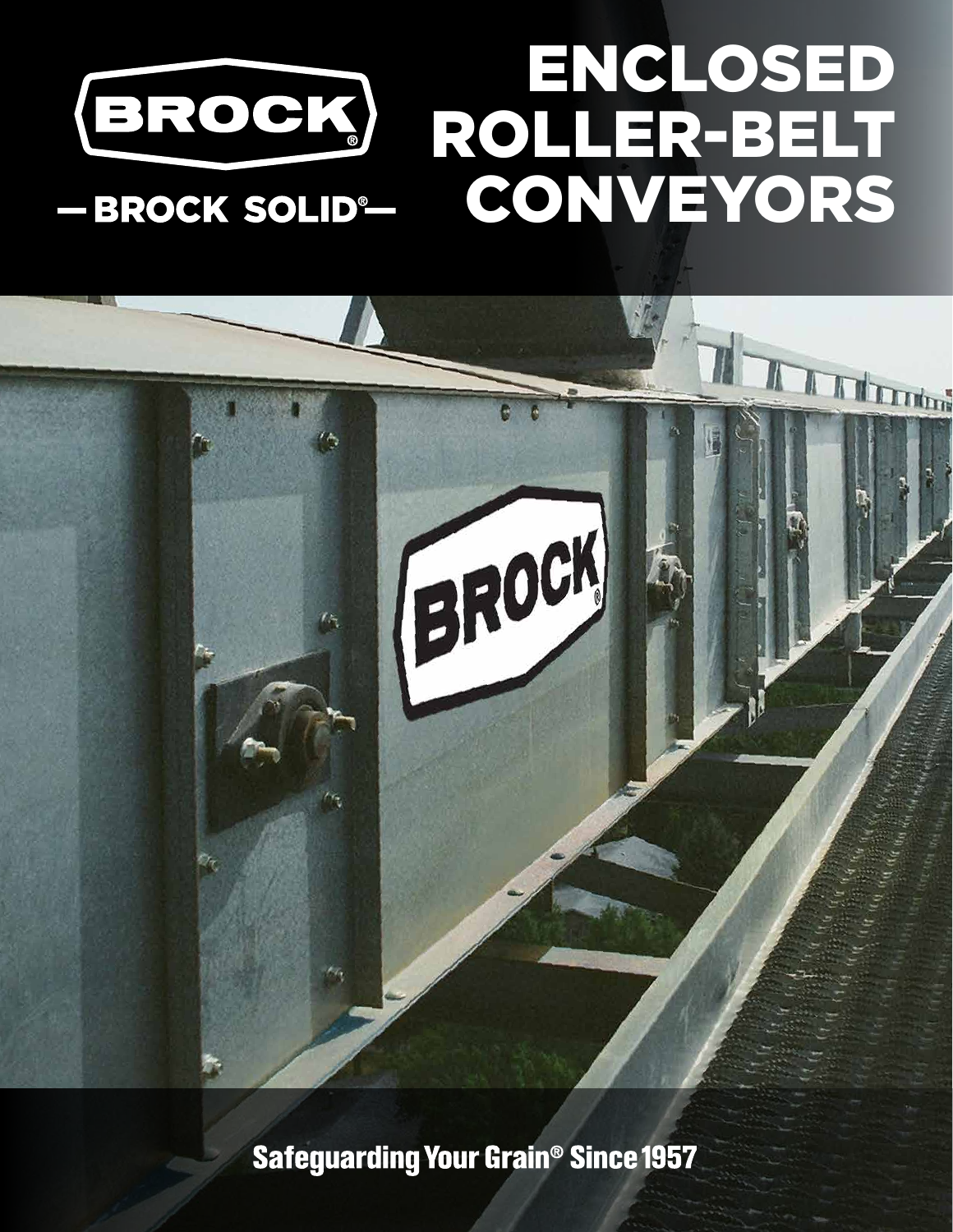

# BROCK

Safeguarding Your Grain® Since 1957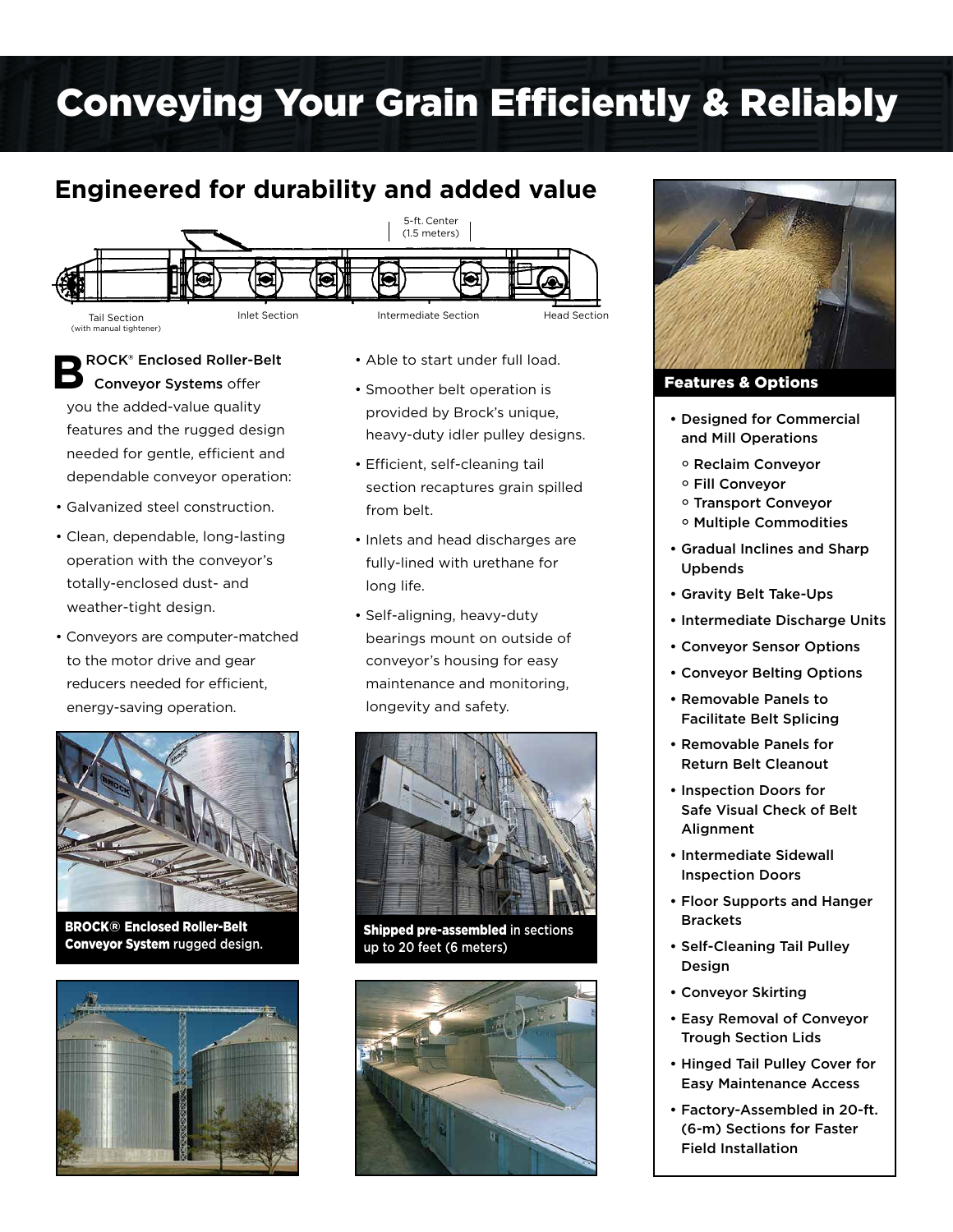# Conveying Your Grain Efficiently & Reliably

# **Engineered for durability and added value**



**B**ROCK® Enclosed Roller-Belt Conveyor Systems offer you the added-value quality features and the rugged design needed for gentle, efficient and dependable conveyor operation:

- Galvanized steel construction.
- Clean, dependable, long-lasting operation with the conveyor's totally-enclosed dust- and weather-tight design.
- Conveyors are computer-matched to the motor drive and gear reducers needed for efficient, energy-saving operation.



BROCK® Enclosed Roller-Belt Conveyor System rugged design.



- Able to start under full load.
- Smoother belt operation is provided by Brock's unique, heavy-duty idler pulley designs.
- Efficient, self-cleaning tail section recaptures grain spilled from belt.
- Inlets and head discharges are fully-lined with urethane for long life.
- Self-aligning, heavy-duty bearings mount on outside of conveyor's housing for easy maintenance and monitoring, longevity and safety.



Shipped pre-assembled in sections up to 20 feet (6 meters)





Features & Options

- Designed for Commercial and Mill Operations
	- ° Reclaim Conveyor
	- ° Fill Conveyor
- ° Transport Conveyor
- ° Multiple Commodities
- Gradual Inclines and Sharp Upbends
- Gravity Belt Take-Ups
- Intermediate Discharge Units
- Conveyor Sensor Options
- Conveyor Belting Options
- Removable Panels to Facilitate Belt Splicing
- Removable Panels for Return Belt Cleanout
- Inspection Doors for Safe Visual Check of Belt **Alignment**
- Intermediate Sidewall Inspection Doors
- Floor Supports and Hanger **Brackets**
- Self-Cleaning Tail Pulley Design
- Conveyor Skirting
- Easy Removal of Conveyor Trough Section Lids
- Hinged Tail Pulley Cover for Easy Maintenance Access
- Factory-Assembled in 20-ft. (6-m) Sections for Faster Field Installation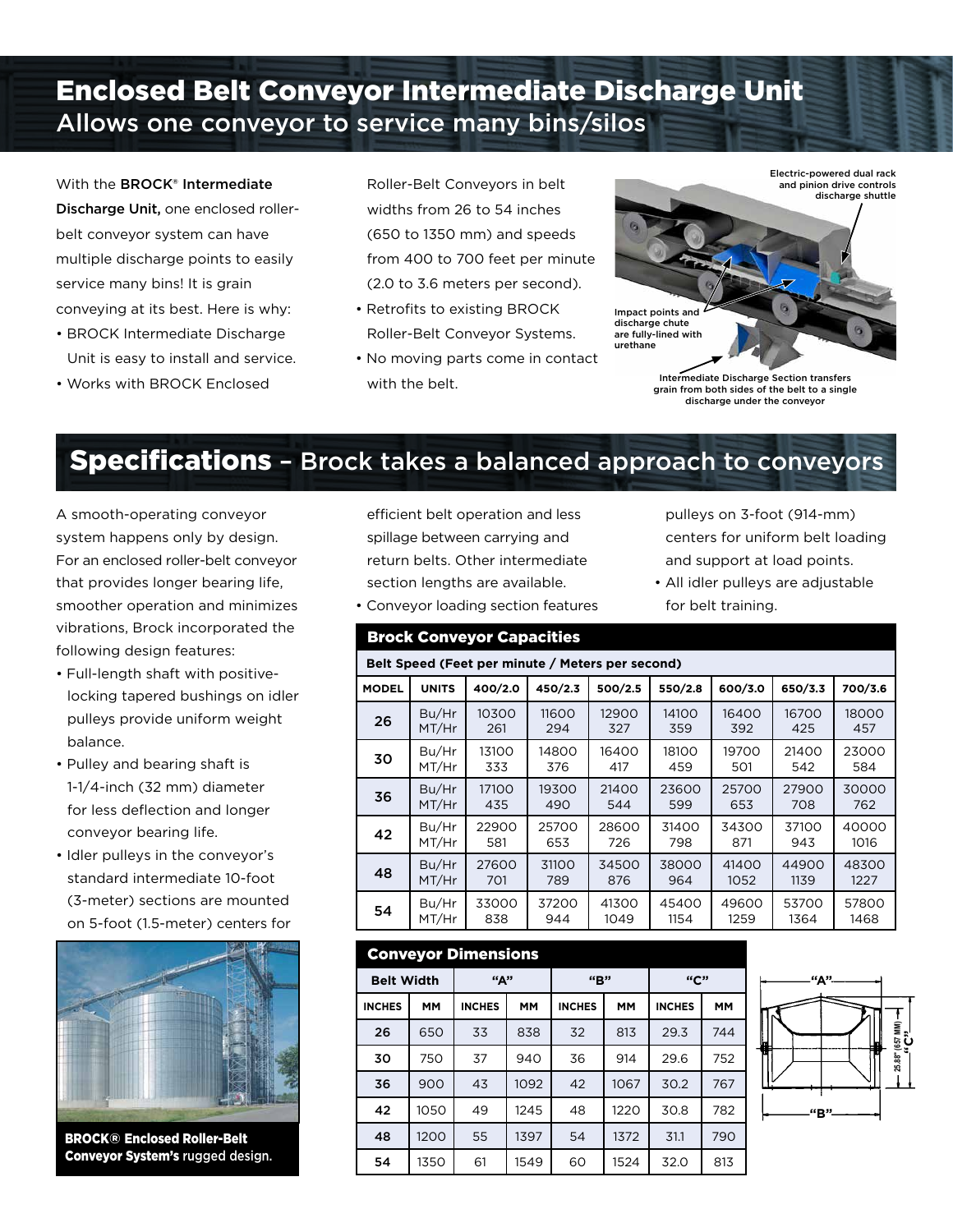# Enclosed Belt Conveyor Intermediate Discharge Unit Allows one conveyor to service many bins/silos

With the **BROCK<sup>®</sup> Intermediate** Discharge Unit, one enclosed rollerbelt conveyor system can have multiple discharge points to easily service many bins! It is grain conveying at its best. Here is why:

- BROCK Intermediate Discharge Unit is easy to install and service.
- Works with BROCK Enclosed

Roller-Belt Conveyors in belt widths from 26 to 54 inches (650 to 1350 mm) and speeds from 400 to 700 feet per minute (2.0 to 3.6 meters per second).

- Retrofits to existing BROCK Roller-Belt Conveyor Systems.
- No moving parts come in contact with the belt. **Intermediate Discharge Section transfers**



grain from both sides of the belt to a single discharge under the conveyor

# **Specifications** - Brock takes a balanced approach to conveyors

A smooth-operating conveyor system happens only by design. For an enclosed roller-belt conveyor that provides longer bearing life, smoother operation and minimizes vibrations, Brock incorporated the following design features:

- Full-length shaft with positivelocking tapered bushings on idler pulleys provide uniform weight balance.
- Pulley and bearing shaft is 1-1/4-inch (32 mm) diameter for less deflection and longer conveyor bearing life.
- Idler pulleys in the conveyor's standard intermediate 10-foot (3-meter) sections are mounted on 5-foot (1.5-meter) centers for



BROCK® Enclosed Roller-Belt Conveyor System's rugged design. efficient belt operation and less spillage between carrying and return belts. Other intermediate section lengths are available.



• All idler pulleys are adjustable for belt training.

| Belt Speed (Feet per minute / Meters per second) |              |         |         |         |         |         |         |         |  |  |  |  |
|--------------------------------------------------|--------------|---------|---------|---------|---------|---------|---------|---------|--|--|--|--|
| <b>MODEL</b>                                     | <b>UNITS</b> | 400/2.0 | 450/2.3 | 500/2.5 | 550/2.8 | 600/3.0 | 650/3.3 | 700/3.6 |  |  |  |  |
| 26                                               | Bu/Hr        | 10300   | 11600   | 12900   | 14100   | 16400   | 16700   | 18000   |  |  |  |  |
|                                                  | MT/Hr        | 261     | 294     | 327     | 359     | 392     | 425     | 457     |  |  |  |  |
| 30                                               | Bu/Hr        | 13100   | 14800   | 16400   | 18100   | 19700   | 21400   | 23000   |  |  |  |  |
|                                                  | MT/Hr        | 333     | 376     | 417     | 459     | 501     | 542     | 584     |  |  |  |  |
| 36                                               | Bu/Hr        | 17100   | 19300   | 21400   | 23600   | 25700   | 27900   | 30000   |  |  |  |  |
|                                                  | MT/Hr        | 435     | 490     | 544     | 599     | 653     | 708     | 762     |  |  |  |  |
| 42                                               | Bu/Hr        | 22900   | 25700   | 28600   | 31400   | 34300   | 37100   | 40000   |  |  |  |  |
|                                                  | MT/Hr        | 581     | 653     | 726     | 798     | 871     | 943     | 1016    |  |  |  |  |
| 48                                               | Bu/Hr        | 27600   | 31100   | 34500   | 38000   | 41400   | 44900   | 48300   |  |  |  |  |
|                                                  | MT/Hr        | 701     | 789     | 876     | 964     | 1052    | 1139    | 1227    |  |  |  |  |
| 54                                               | Bu/Hr        | 33000   | 37200   | 41300   | 45400   | 49600   | 53700   | 57800   |  |  |  |  |
|                                                  | MT/Hr        | 838     | 944     | 1049    | 1154    | 1259    | 1364    | 1468    |  |  |  |  |

#### Conveyor Dimensions

| <b>Belt Width</b> |           | "А"           |           | ``R"          |           | "C"           |           |
|-------------------|-----------|---------------|-----------|---------------|-----------|---------------|-----------|
| <b>INCHES</b>     | <b>MM</b> | <b>INCHES</b> | <b>MM</b> | <b>INCHES</b> | <b>MM</b> | <b>INCHES</b> | <b>MM</b> |
| 26                | 650       | 33            | 838       | 32            | 813       | 29.3          | 744       |
| 30                | 750       | 37            | 940       | 36            | 914       | 29.6          | 752       |
| 36                | 900       | 43            | 1092      | 42            | 1067      | 30.2          | 767       |
| 42                | 1050      | 49            | 1245      | 48            | 1220      | 30.8          | 782       |
| 48                | 1200      | 55            | 1397      | 54            | 1372      | 31.1          | 790       |
| 54                | 1350      | 61            | 1549      | 60            | 1524      | 32.0          | 813       |



## • Conveyor loading section features

## Brock Conveyor Capacities